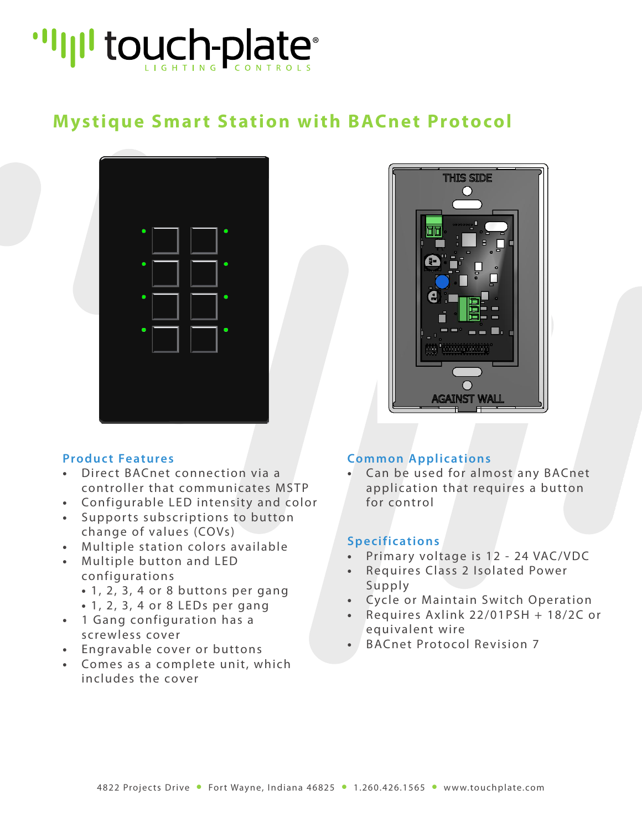

### **Mystique Smart Station with BACnet Protocol**



### **Product Features**

- Direct BACnet connection via a controller that communicates MSTP
- **•** Configurable LED intensity and color
- Supports subscriptions to button change of values (COVs)
- **•** Multiple station colors available
- **•** Multiple button and LED configurations
	- **•** 1, 2, 3, 4 or 8 buttons per gang
	- **•** 1, 2, 3, 4 or 8 LEDs per gang
- 1 Gang configuration has a screwless cover
- **•** Engravable cover or buttons
- **•** Comes as a complete unit, which includes the cover



### **Common Applications**

**•** Can be used for almost any BACnet application that requires a button for control

#### **Specifications**

- **•** Primary voltage is 12 24 VAC/VDC
- **•** Requires Class 2 Isolated Power Supply
- **•** Cycle or Maintain Switch Operation
- **•** Requires Axlink 22/01PSH + 18/2C or equivalent wire
- **•** BACnet Protocol Revision 7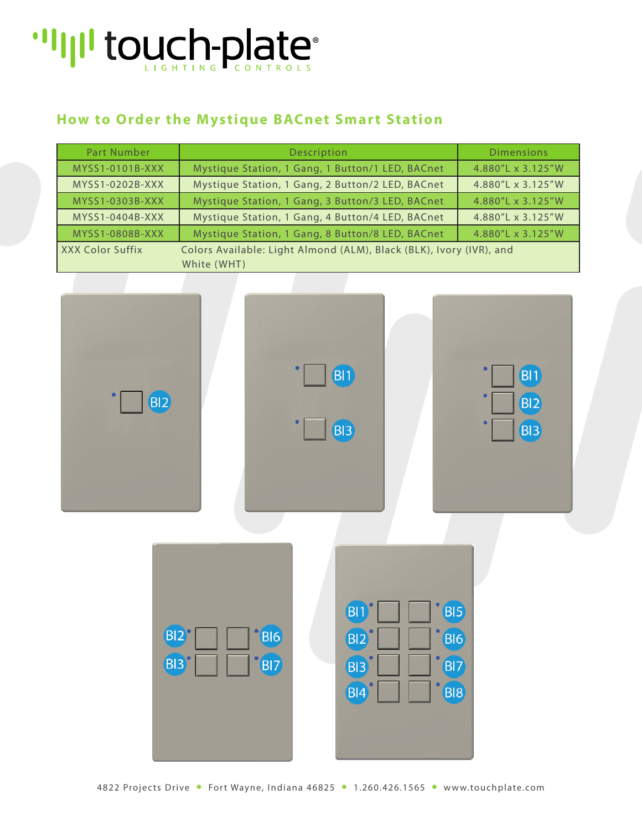## "I'll touch-plate"

### **How to Order the Mystique BACnet Smart Station**

| Part Number                                                                             | Description                                      | <b>Dimensions</b> |  |  |  |
|-----------------------------------------------------------------------------------------|--------------------------------------------------|-------------------|--|--|--|
| MYSS1-0101B-XXX                                                                         | Mystique Station, 1 Gang, 1 Button/1 LED, BACnet | 4.880"L x 3.125"W |  |  |  |
| MYSS1-0202B-XXX                                                                         | Mystique Station, 1 Gang, 2 Button/2 LED, BACnet | 4.880"L x 3.125"W |  |  |  |
| MYSS1-0303B-XXX                                                                         | Mystique Station, 1 Gang, 3 Button/3 LED, BACnet | 4.880"L x 3.125"W |  |  |  |
| MYSS1-0404B-XXX                                                                         | Mystique Station, 1 Gang, 4 Button/4 LED, BACnet | 4.880"L x 3.125"W |  |  |  |
| MYSS1-0808B-XXX                                                                         | Mystique Station, 1 Gang, 8 Button/8 LED, BACnet | 4.880"L x 3.125"W |  |  |  |
| Colors Available: Light Almond (ALM), Black (BLK), Ivory (IVR), and<br>XXX Color Suffix |                                                  |                   |  |  |  |
|                                                                                         | White (WHT)                                      |                   |  |  |  |